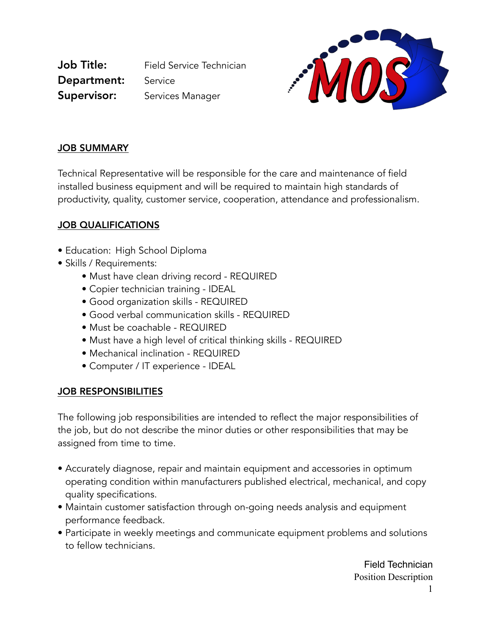Job Title: Field Service Technician Department: Service **Supervisor:** Services Manager



### JOB SUMMARY

Technical Representative will be responsible for the care and maintenance of field installed business equipment and will be required to maintain high standards of productivity, quality, customer service, cooperation, attendance and professionalism.

## JOB QUALIFICATIONS

- Education: High School Diploma
- Skills / Requirements:
	- Must have clean driving record REQUIRED
	- Copier technician training IDEAL
	- Good organization skills REQUIRED
	- Good verbal communication skills REQUIRED
	- Must be coachable REQUIRED
	- Must have a high level of critical thinking skills REQUIRED
	- Mechanical inclination REQUIRED
	- Computer / IT experience IDEAL

### JOB RESPONSIBILITIES

The following job responsibilities are intended to reflect the major responsibilities of the job, but do not describe the minor duties or other responsibilities that may be assigned from time to time.

- Accurately diagnose, repair and maintain equipment and accessories in optimum operating condition within manufacturers published electrical, mechanical, and copy quality specifications.
- Maintain customer satisfaction through on-going needs analysis and equipment performance feedback.
- Participate in weekly meetings and communicate equipment problems and solutions to fellow technicians.

Field Technician Position Description 1